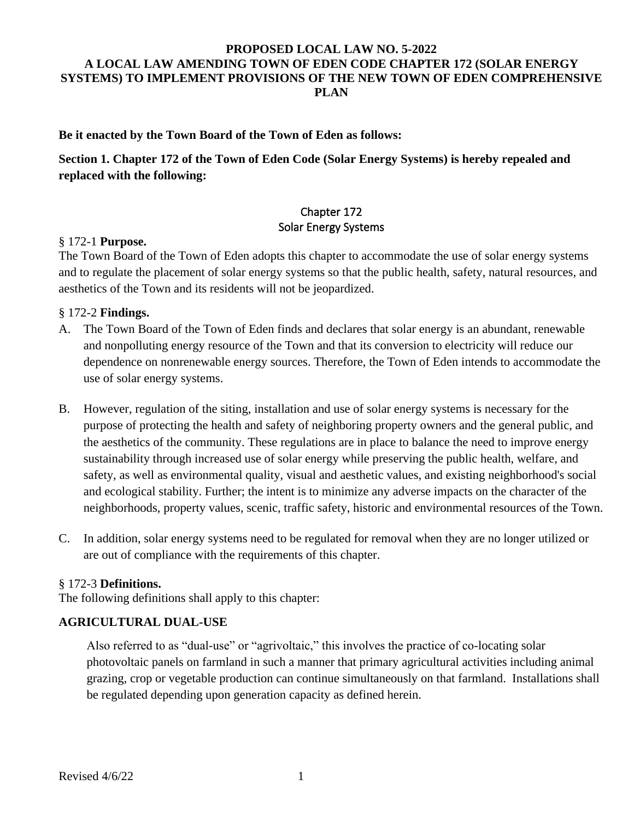## **PROPOSED LOCAL LAW NO. 5-2022 A LOCAL LAW AMENDING TOWN OF EDEN CODE CHAPTER 172 (SOLAR ENERGY SYSTEMS) TO IMPLEMENT PROVISIONS OF THE NEW TOWN OF EDEN COMPREHENSIVE PLAN**

#### **Be it enacted by the Town Board of the Town of Eden as follows:**

**Section 1. Chapter 172 of the Town of Eden Code (Solar Energy Systems) is hereby repealed and replaced with the following:**

# Chapter 172 Solar Energy Systems

#### § 172-1 **Purpose.**

The Town Board of the Town of Eden adopts this chapter to accommodate the use of solar energy systems and to regulate the placement of solar energy systems so that the public health, safety, natural resources, and aesthetics of the Town and its residents will not be jeopardized.

#### § 172-2 **Findings.**

- A. The Town Board of the Town of Eden finds and declares that solar energy is an abundant, renewable and nonpolluting energy resource of the Town and that its conversion to electricity will reduce our dependence on nonrenewable energy sources. Therefore, the Town of Eden intends to accommodate the use of solar energy systems.
- B. However, regulation of the siting, installation and use of solar energy systems is necessary for the purpose of protecting the health and safety of neighboring property owners and the general public, and the aesthetics of the community. These regulations are in place to balance the need to improve energy sustainability through increased use of solar energy while preserving the public health, welfare, and safety, as well as environmental quality, visual and aesthetic values, and existing neighborhood's social and ecological stability. Further; the intent is to minimize any adverse impacts on the character of the neighborhoods, property values, scenic, traffic safety, historic and environmental resources of the Town.
- C. In addition, solar energy systems need to be regulated for removal when they are no longer utilized or are out of compliance with the requirements of this chapter.

#### § 172-3 **Definitions.**

The following definitions shall apply to this chapter:

#### **AGRICULTURAL DUAL-USE**

Also referred to as "dual-use" or "agrivoltaic," this involves the practice of co-locating solar photovoltaic panels on farmland in such a manner that primary agricultural activities including animal grazing, crop or vegetable production can continue simultaneously on that farmland. Installations shall be regulated depending upon generation capacity as defined herein.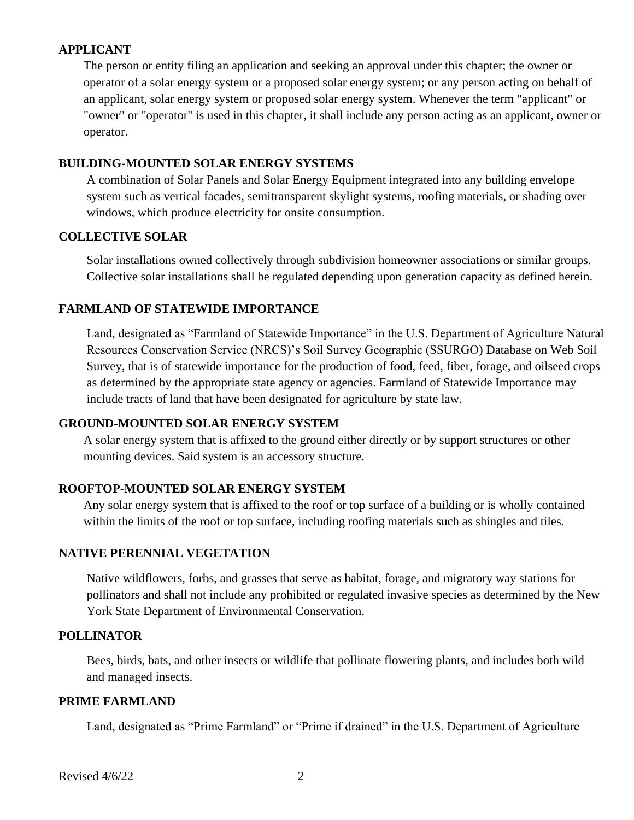### **APPLICANT**

The person or entity filing an application and seeking an approval under this chapter; the owner or operator of a solar energy system or a proposed solar energy system; or any person acting on behalf of an applicant, solar energy system or proposed solar energy system. Whenever the term "applicant" or "owner" or "operator" is used in this chapter, it shall include any person acting as an applicant, owner or operator.

#### **BUILDING-MOUNTED SOLAR ENERGY SYSTEMS**

A combination of Solar Panels and Solar Energy Equipment integrated into any building envelope system such as vertical facades, semitransparent skylight systems, roofing materials, or shading over windows, which produce electricity for onsite consumption.

## **COLLECTIVE SOLAR**

Solar installations owned collectively through subdivision homeowner associations or similar groups. Collective solar installations shall be regulated depending upon generation capacity as defined herein.

## **FARMLAND OF STATEWIDE IMPORTANCE**

Land, designated as "Farmland of Statewide Importance" in the U.S. Department of Agriculture Natural Resources Conservation Service (NRCS)'s Soil Survey Geographic (SSURGO) Database on Web Soil Survey, that is of statewide importance for the production of food, feed, fiber, forage, and oilseed crops as determined by the appropriate state agency or agencies. Farmland of Statewide Importance may include tracts of land that have been designated for agriculture by state law.

## **GROUND-MOUNTED SOLAR ENERGY SYSTEM**

A solar energy system that is affixed to the ground either directly or by support structures or other mounting devices. Said system is an accessory structure.

# **ROOFTOP-MOUNTED SOLAR ENERGY SYSTEM**

Any solar energy system that is affixed to the roof or top surface of a building or is wholly contained within the limits of the roof or top surface, including roofing materials such as shingles and tiles.

#### **NATIVE PERENNIAL VEGETATION**

Native wildflowers, forbs, and grasses that serve as habitat, forage, and migratory way stations for pollinators and shall not include any prohibited or regulated invasive species as determined by the New York State Department of Environmental Conservation.

#### **POLLINATOR**

Bees, birds, bats, and other insects or wildlife that pollinate flowering plants, and includes both wild and managed insects.

#### **PRIME FARMLAND**

Land, designated as "Prime Farmland" or "Prime if drained" in the U.S. Department of Agriculture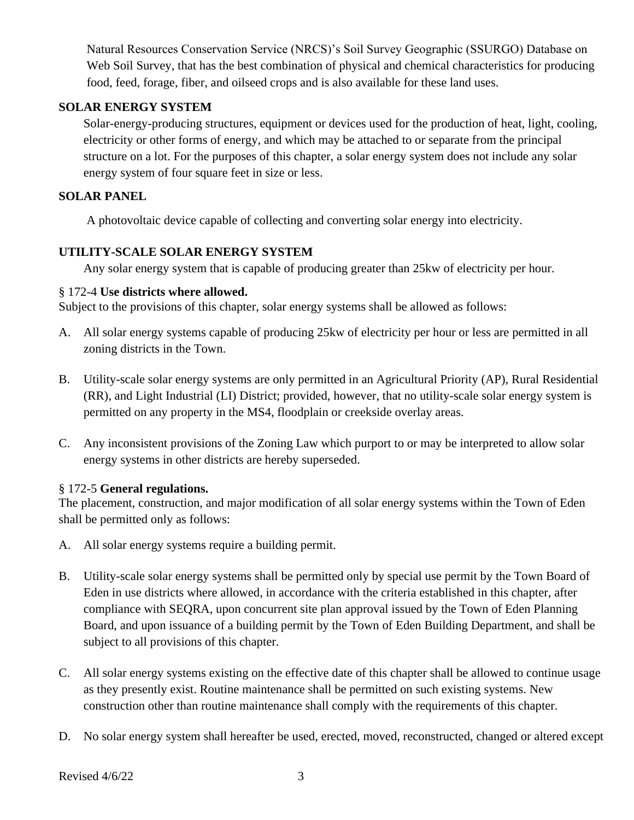Natural Resources Conservation Service (NRCS)'s Soil Survey Geographic (SSURGO) Database on Web Soil Survey, that has the best combination of physical and chemical characteristics for producing food, feed, forage, fiber, and oilseed crops and is also available for these land uses.

# **SOLAR ENERGY SYSTEM**

Solar-energy-producing structures, equipment or devices used for the production of heat, light, cooling, electricity or other forms of energy, and which may be attached to or separate from the principal structure on a lot. For the purposes of this chapter, a solar energy system does not include any solar energy system of four square feet in size or less.

## **SOLAR PANEL**

A photovoltaic device capable of collecting and converting solar energy into electricity.

## **UTILITY-SCALE SOLAR ENERGY SYSTEM**

Any solar energy system that is capable of producing greater than 25kw of electricity per hour.

### § 172-4 **Use districts where allowed.**

Subject to the provisions of this chapter, solar energy systems shall be allowed as follows:

- A. All solar energy systems capable of producing 25kw of electricity per hour or less are permitted in all zoning districts in the Town.
- B. Utility-scale solar energy systems are only permitted in an Agricultural Priority (AP), Rural Residential (RR), and Light Industrial (LI) District; provided, however, that no utility-scale solar energy system is permitted on any property in the MS4, floodplain or creekside overlay areas.
- C. Any inconsistent provisions of the Zoning Law which purport to or may be interpreted to allow solar energy systems in other districts are hereby superseded.

# § 172-5 **General regulations.**

The placement, construction, and major modification of all solar energy systems within the Town of Eden shall be permitted only as follows:

- A. All solar energy systems require a building permit.
- B. Utility-scale solar energy systems shall be permitted only by special use permit by the Town Board of Eden in use districts where allowed, in accordance with the criteria established in this chapter, after compliance with SEQRA, upon concurrent site plan approval issued by the Town of Eden Planning Board, and upon issuance of a building permit by the Town of Eden Building Department, and shall be subject to all provisions of this chapter.
- C. All solar energy systems existing on the effective date of this chapter shall be allowed to continue usage as they presently exist. Routine maintenance shall be permitted on such existing systems. New construction other than routine maintenance shall comply with the requirements of this chapter.
- D. No solar energy system shall hereafter be used, erected, moved, reconstructed, changed or altered except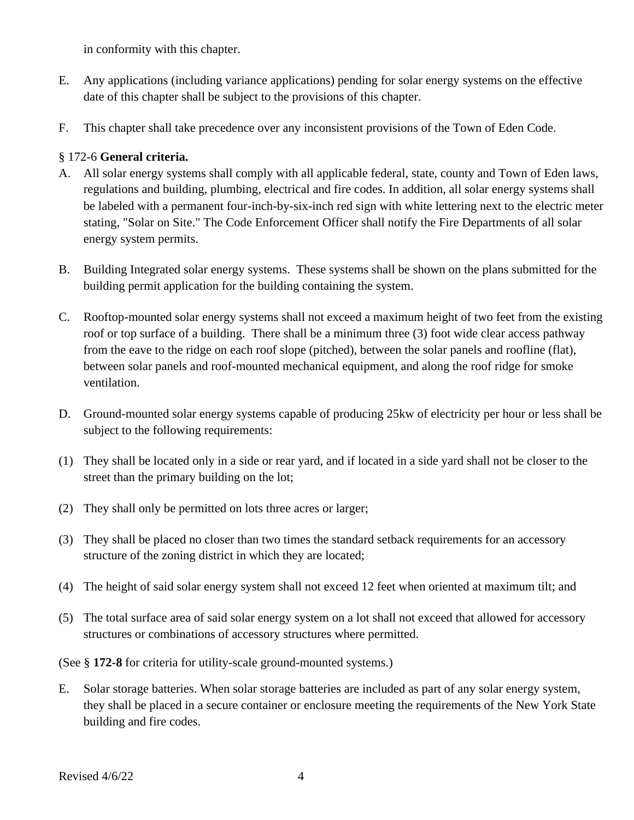in conformity with this chapter.

- E. Any applications (including variance applications) pending for solar energy systems on the effective date of this chapter shall be subject to the provisions of this chapter.
- F. This chapter shall take precedence over any inconsistent provisions of the Town of Eden Code.

# § 172-6 **General criteria.**

- A. All solar energy systems shall comply with all applicable federal, state, county and Town of Eden laws, regulations and building, plumbing, electrical and fire codes. In addition, all solar energy systems shall be labeled with a permanent four-inch-by-six-inch red sign with white lettering next to the electric meter stating, "Solar on Site." The Code Enforcement Officer shall notify the Fire Departments of all solar energy system permits.
- B. Building Integrated solar energy systems. These systems shall be shown on the plans submitted for the building permit application for the building containing the system.
- C. Rooftop-mounted solar energy systems shall not exceed a maximum height of two feet from the existing roof or top surface of a building. There shall be a minimum three (3) foot wide clear access pathway from the eave to the ridge on each roof slope (pitched), between the solar panels and roofline (flat), between solar panels and roof-mounted mechanical equipment, and along the roof ridge for smoke ventilation.
- D. Ground-mounted solar energy systems capable of producing 25kw of electricity per hour or less shall be subject to the following requirements:
- (1) They shall be located only in a side or rear yard, and if located in a side yard shall not be closer to the street than the primary building on the lot;
- (2) They shall only be permitted on lots three acres or larger;
- (3) They shall be placed no closer than two times the standard setback requirements for an accessory structure of the zoning district in which they are located;
- (4) The height of said solar energy system shall not exceed 12 feet when oriented at maximum tilt; and
- (5) The total surface area of said solar energy system on a lot shall not exceed that allowed for accessory structures or combinations of accessory structures where permitted.

(See § **172-8** for criteria for utility-scale ground-mounted systems.)

E. Solar storage batteries. When solar storage batteries are included as part of any solar energy system, they shall be placed in a secure container or enclosure meeting the requirements of the New York State building and fire codes.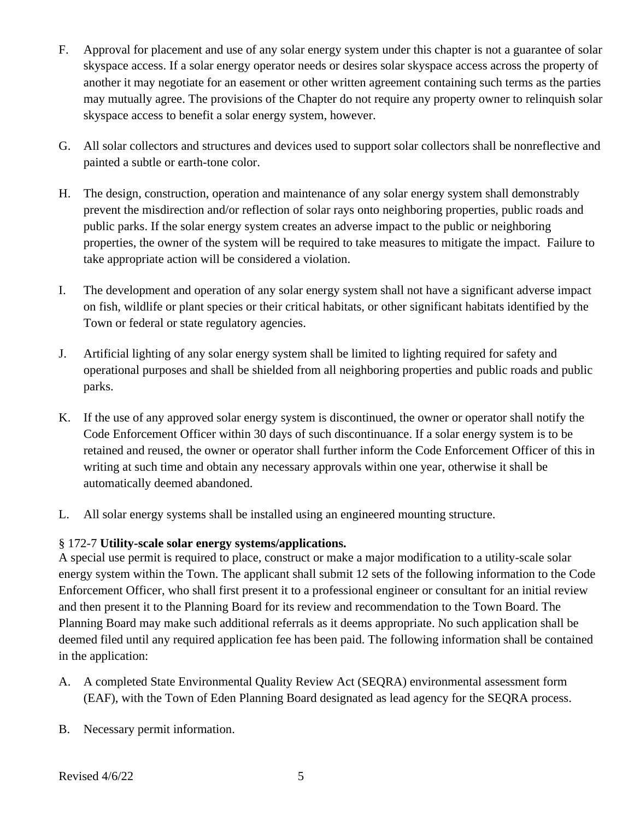- F. Approval for placement and use of any solar energy system under this chapter is not a guarantee of solar skyspace access. If a solar energy operator needs or desires solar skyspace access across the property of another it may negotiate for an easement or other written agreement containing such terms as the parties may mutually agree. The provisions of the Chapter do not require any property owner to relinquish solar skyspace access to benefit a solar energy system, however.
- G. All solar collectors and structures and devices used to support solar collectors shall be nonreflective and painted a subtle or earth-tone color.
- H. The design, construction, operation and maintenance of any solar energy system shall demonstrably prevent the misdirection and/or reflection of solar rays onto neighboring properties, public roads and public parks. If the solar energy system creates an adverse impact to the public or neighboring properties, the owner of the system will be required to take measures to mitigate the impact. Failure to take appropriate action will be considered a violation.
- I. The development and operation of any solar energy system shall not have a significant adverse impact on fish, wildlife or plant species or their critical habitats, or other significant habitats identified by the Town or federal or state regulatory agencies.
- J. Artificial lighting of any solar energy system shall be limited to lighting required for safety and operational purposes and shall be shielded from all neighboring properties and public roads and public parks.
- K. If the use of any approved solar energy system is discontinued, the owner or operator shall notify the Code Enforcement Officer within 30 days of such discontinuance. If a solar energy system is to be retained and reused, the owner or operator shall further inform the Code Enforcement Officer of this in writing at such time and obtain any necessary approvals within one year, otherwise it shall be automatically deemed abandoned.
- L. All solar energy systems shall be installed using an engineered mounting structure.

# § 172-7 **Utility-scale solar energy systems/applications.**

A special use permit is required to place, construct or make a major modification to a utility-scale solar energy system within the Town. The applicant shall submit 12 sets of the following information to the Code Enforcement Officer, who shall first present it to a professional engineer or consultant for an initial review and then present it to the Planning Board for its review and recommendation to the Town Board. The Planning Board may make such additional referrals as it deems appropriate. No such application shall be deemed filed until any required application fee has been paid. The following information shall be contained in the application:

- A. A completed State Environmental Quality Review Act (SEQRA) environmental assessment form (EAF), with the Town of Eden Planning Board designated as lead agency for the SEQRA process.
- B. Necessary permit information.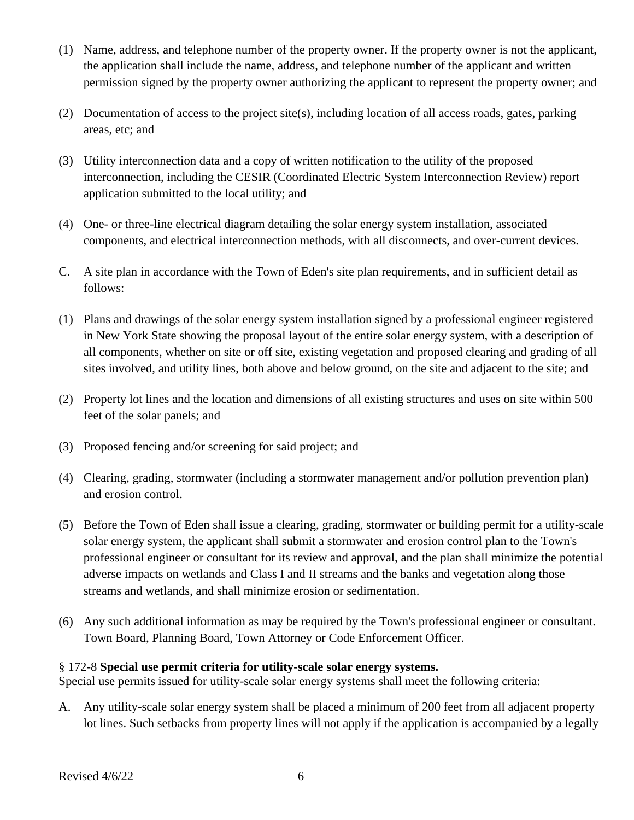- (1) Name, address, and telephone number of the property owner. If the property owner is not the applicant, the application shall include the name, address, and telephone number of the applicant and written permission signed by the property owner authorizing the applicant to represent the property owner; and
- (2) Documentation of access to the project site(s), including location of all access roads, gates, parking areas, etc; and
- (3) Utility interconnection data and a copy of written notification to the utility of the proposed interconnection, including the CESIR (Coordinated Electric System Interconnection Review) report application submitted to the local utility; and
- (4) One- or three-line electrical diagram detailing the solar energy system installation, associated components, and electrical interconnection methods, with all disconnects, and over-current devices.
- C. A site plan in accordance with the Town of Eden's site plan requirements, and in sufficient detail as follows:
- (1) Plans and drawings of the solar energy system installation signed by a professional engineer registered in New York State showing the proposal layout of the entire solar energy system, with a description of all components, whether on site or off site, existing vegetation and proposed clearing and grading of all sites involved, and utility lines, both above and below ground, on the site and adjacent to the site; and
- (2) Property lot lines and the location and dimensions of all existing structures and uses on site within 500 feet of the solar panels; and
- (3) Proposed fencing and/or screening for said project; and
- (4) Clearing, grading, stormwater (including a stormwater management and/or pollution prevention plan) and erosion control.
- (5) Before the Town of Eden shall issue a clearing, grading, stormwater or building permit for a utility-scale solar energy system, the applicant shall submit a stormwater and erosion control plan to the Town's professional engineer or consultant for its review and approval, and the plan shall minimize the potential adverse impacts on wetlands and Class I and II streams and the banks and vegetation along those streams and wetlands, and shall minimize erosion or sedimentation.
- (6) Any such additional information as may be required by the Town's professional engineer or consultant. Town Board, Planning Board, Town Attorney or Code Enforcement Officer.

# § 172-8 **Special use permit criteria for utility-scale solar energy systems.**

Special use permits issued for utility-scale solar energy systems shall meet the following criteria:

A. Any utility-scale solar energy system shall be placed a minimum of 200 feet from all adjacent property lot lines. Such setbacks from property lines will not apply if the application is accompanied by a legally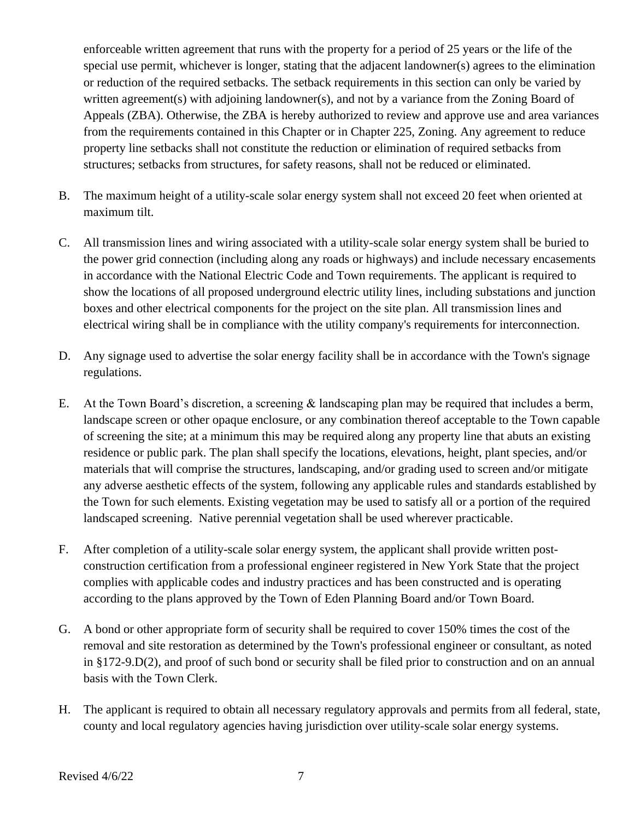enforceable written agreement that runs with the property for a period of 25 years or the life of the special use permit, whichever is longer, stating that the adjacent landowner(s) agrees to the elimination or reduction of the required setbacks. The setback requirements in this section can only be varied by written agreement(s) with adjoining landowner(s), and not by a variance from the Zoning Board of Appeals (ZBA). Otherwise, the ZBA is hereby authorized to review and approve use and area variances from the requirements contained in this Chapter or in Chapter 225, Zoning. Any agreement to reduce property line setbacks shall not constitute the reduction or elimination of required setbacks from structures; setbacks from structures, for safety reasons, shall not be reduced or eliminated.

- B. The maximum height of a utility-scale solar energy system shall not exceed 20 feet when oriented at maximum tilt.
- C. All transmission lines and wiring associated with a utility-scale solar energy system shall be buried to the power grid connection (including along any roads or highways) and include necessary encasements in accordance with the National Electric Code and Town requirements. The applicant is required to show the locations of all proposed underground electric utility lines, including substations and junction boxes and other electrical components for the project on the site plan. All transmission lines and electrical wiring shall be in compliance with the utility company's requirements for interconnection.
- D. Any signage used to advertise the solar energy facility shall be in accordance with the Town's signage regulations.
- E. At the Town Board's discretion, a screening & landscaping plan may be required that includes a berm, landscape screen or other opaque enclosure, or any combination thereof acceptable to the Town capable of screening the site; at a minimum this may be required along any property line that abuts an existing residence or public park. The plan shall specify the locations, elevations, height, plant species, and/or materials that will comprise the structures, landscaping, and/or grading used to screen and/or mitigate any adverse aesthetic effects of the system, following any applicable rules and standards established by the Town for such elements. Existing vegetation may be used to satisfy all or a portion of the required landscaped screening. Native perennial vegetation shall be used wherever practicable.
- F. After completion of a utility-scale solar energy system, the applicant shall provide written postconstruction certification from a professional engineer registered in New York State that the project complies with applicable codes and industry practices and has been constructed and is operating according to the plans approved by the Town of Eden Planning Board and/or Town Board.
- G. A bond or other appropriate form of security shall be required to cover 150% times the cost of the removal and site restoration as determined by the Town's professional engineer or consultant, as noted in §172-9.D(2), and proof of such bond or security shall be filed prior to construction and on an annual basis with the Town Clerk.
- H. The applicant is required to obtain all necessary regulatory approvals and permits from all federal, state, county and local regulatory agencies having jurisdiction over utility-scale solar energy systems.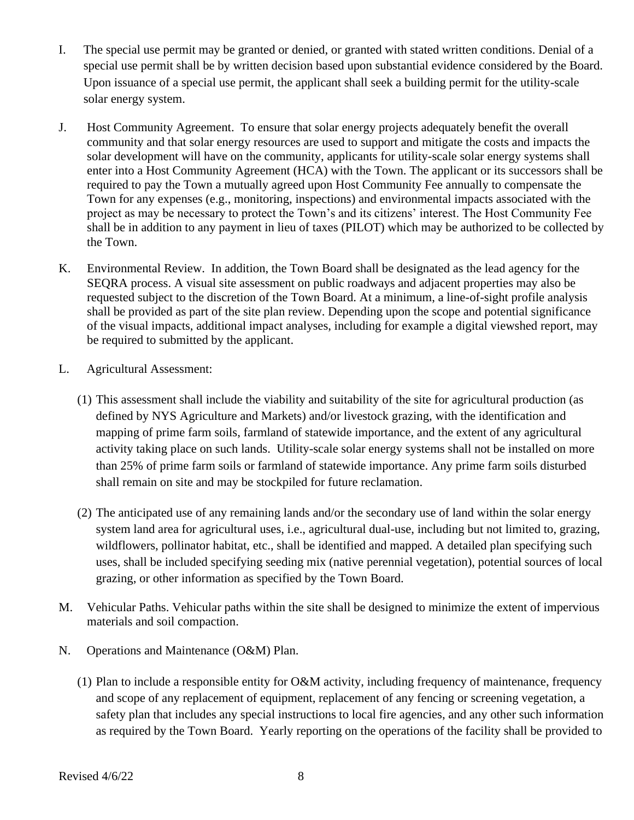- I. The special use permit may be granted or denied, or granted with stated written conditions. Denial of a special use permit shall be by written decision based upon substantial evidence considered by the Board. Upon issuance of a special use permit, the applicant shall seek a building permit for the utility-scale solar energy system.
- J. Host Community Agreement. To ensure that solar energy projects adequately benefit the overall community and that solar energy resources are used to support and mitigate the costs and impacts the solar development will have on the community, applicants for utility-scale solar energy systems shall enter into a Host Community Agreement (HCA) with the Town. The applicant or its successors shall be required to pay the Town a mutually agreed upon Host Community Fee annually to compensate the Town for any expenses (e.g., monitoring, inspections) and environmental impacts associated with the project as may be necessary to protect the Town's and its citizens' interest. The Host Community Fee shall be in addition to any payment in lieu of taxes (PILOT) which may be authorized to be collected by the Town.
- K. Environmental Review. In addition, the Town Board shall be designated as the lead agency for the SEQRA process. A visual site assessment on public roadways and adjacent properties may also be requested subject to the discretion of the Town Board. At a minimum, a line-of-sight profile analysis shall be provided as part of the site plan review. Depending upon the scope and potential significance of the visual impacts, additional impact analyses, including for example a digital viewshed report, may be required to submitted by the applicant.
- L. Agricultural Assessment:
	- (1) This assessment shall include the viability and suitability of the site for agricultural production (as defined by NYS Agriculture and Markets) and/or livestock grazing, with the identification and mapping of prime farm soils, farmland of statewide importance, and the extent of any agricultural activity taking place on such lands. Utility-scale solar energy systems shall not be installed on more than 25% of prime farm soils or farmland of statewide importance. Any prime farm soils disturbed shall remain on site and may be stockpiled for future reclamation.
	- (2) The anticipated use of any remaining lands and/or the secondary use of land within the solar energy system land area for agricultural uses, i.e., agricultural dual-use, including but not limited to, grazing, wildflowers, pollinator habitat, etc., shall be identified and mapped. A detailed plan specifying such uses, shall be included specifying seeding mix (native perennial vegetation), potential sources of local grazing, or other information as specified by the Town Board.
- M. Vehicular Paths. Vehicular paths within the site shall be designed to minimize the extent of impervious materials and soil compaction.
- N. Operations and Maintenance (O&M) Plan.
	- (1) Plan to include a responsible entity for O&M activity, including frequency of maintenance, frequency and scope of any replacement of equipment, replacement of any fencing or screening vegetation, a safety plan that includes any special instructions to local fire agencies, and any other such information as required by the Town Board. Yearly reporting on the operations of the facility shall be provided to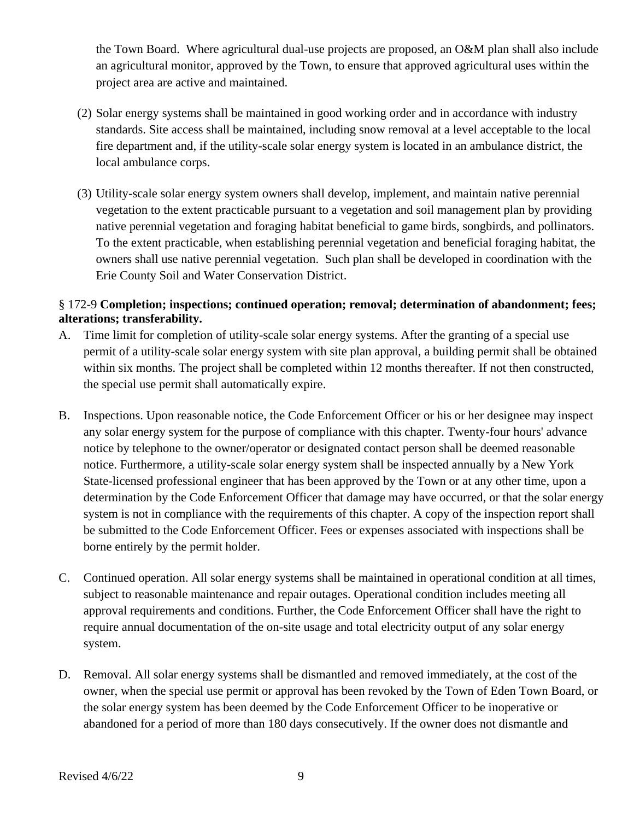the Town Board. Where agricultural dual-use projects are proposed, an O&M plan shall also include an agricultural monitor, approved by the Town, to ensure that approved agricultural uses within the project area are active and maintained.

- (2) Solar energy systems shall be maintained in good working order and in accordance with industry standards. Site access shall be maintained, including snow removal at a level acceptable to the local fire department and, if the utility-scale solar energy system is located in an ambulance district, the local ambulance corps.
- (3) Utility-scale solar energy system owners shall develop, implement, and maintain native perennial vegetation to the extent practicable pursuant to a vegetation and soil management plan by providing native perennial vegetation and foraging habitat beneficial to game birds, songbirds, and pollinators. To the extent practicable, when establishing perennial vegetation and beneficial foraging habitat, the owners shall use native perennial vegetation. Such plan shall be developed in coordination with the Erie County Soil and Water Conservation District.

# § 172-9 **Completion; inspections; continued operation; removal; determination of abandonment; fees; alterations; transferability.**

- A. Time limit for completion of utility-scale solar energy systems. After the granting of a special use permit of a utility-scale solar energy system with site plan approval, a building permit shall be obtained within six months. The project shall be completed within 12 months thereafter. If not then constructed, the special use permit shall automatically expire.
- B. Inspections. Upon reasonable notice, the Code Enforcement Officer or his or her designee may inspect any solar energy system for the purpose of compliance with this chapter. Twenty-four hours' advance notice by telephone to the owner/operator or designated contact person shall be deemed reasonable notice. Furthermore, a utility-scale solar energy system shall be inspected annually by a New York State-licensed professional engineer that has been approved by the Town or at any other time, upon a determination by the Code Enforcement Officer that damage may have occurred, or that the solar energy system is not in compliance with the requirements of this chapter. A copy of the inspection report shall be submitted to the Code Enforcement Officer. Fees or expenses associated with inspections shall be borne entirely by the permit holder.
- C. Continued operation. All solar energy systems shall be maintained in operational condition at all times, subject to reasonable maintenance and repair outages. Operational condition includes meeting all approval requirements and conditions. Further, the Code Enforcement Officer shall have the right to require annual documentation of the on-site usage and total electricity output of any solar energy system.
- D. Removal. All solar energy systems shall be dismantled and removed immediately, at the cost of the owner, when the special use permit or approval has been revoked by the Town of Eden Town Board, or the solar energy system has been deemed by the Code Enforcement Officer to be inoperative or abandoned for a period of more than 180 days consecutively. If the owner does not dismantle and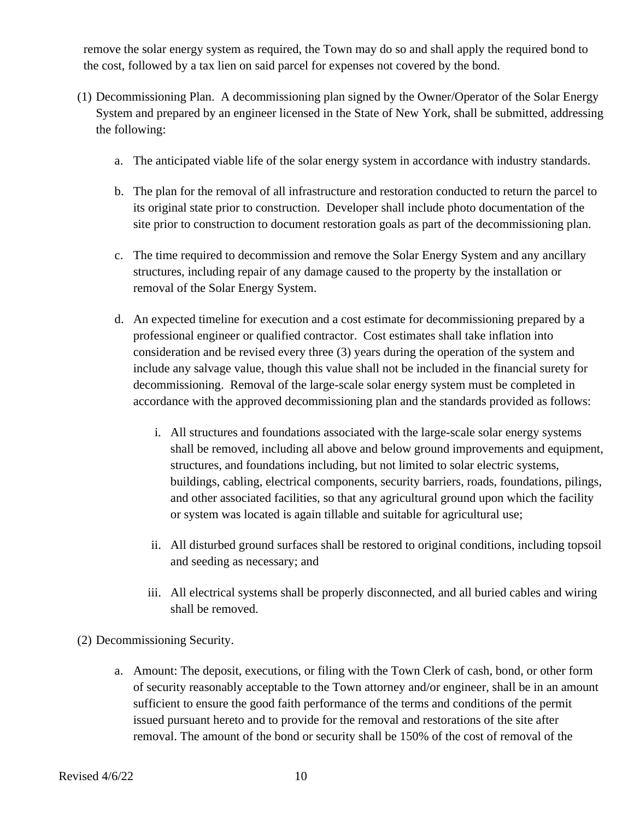remove the solar energy system as required, the Town may do so and shall apply the required bond to the cost, followed by a tax lien on said parcel for expenses not covered by the bond.

- (1) Decommissioning Plan. A decommissioning plan signed by the Owner/Operator of the Solar Energy System and prepared by an engineer licensed in the State of New York, shall be submitted, addressing the following:
	- a. The anticipated viable life of the solar energy system in accordance with industry standards.
	- b. The plan for the removal of all infrastructure and restoration conducted to return the parcel to its original state prior to construction. Developer shall include photo documentation of the site prior to construction to document restoration goals as part of the decommissioning plan.
	- c. The time required to decommission and remove the Solar Energy System and any ancillary structures, including repair of any damage caused to the property by the installation or removal of the Solar Energy System.
	- d. An expected timeline for execution and a cost estimate for decommissioning prepared by a professional engineer or qualified contractor. Cost estimates shall take inflation into consideration and be revised every three (3) years during the operation of the system and include any salvage value, though this value shall not be included in the financial surety for decommissioning. Removal of the large-scale solar energy system must be completed in accordance with the approved decommissioning plan and the standards provided as follows:
		- i. All structures and foundations associated with the large-scale solar energy systems shall be removed, including all above and below ground improvements and equipment, structures, and foundations including, but not limited to solar electric systems, buildings, cabling, electrical components, security barriers, roads, foundations, pilings, and other associated facilities, so that any agricultural ground upon which the facility or system was located is again tillable and suitable for agricultural use;
		- ii. All disturbed ground surfaces shall be restored to original conditions, including topsoil and seeding as necessary; and
		- iii. All electrical systems shall be properly disconnected, and all buried cables and wiring shall be removed.
- (2) Decommissioning Security.
	- a. Amount: The deposit, executions, or filing with the Town Clerk of cash, bond, or other form of security reasonably acceptable to the Town attorney and/or engineer, shall be in an amount sufficient to ensure the good faith performance of the terms and conditions of the permit issued pursuant hereto and to provide for the removal and restorations of the site after removal. The amount of the bond or security shall be 150% of the cost of removal of the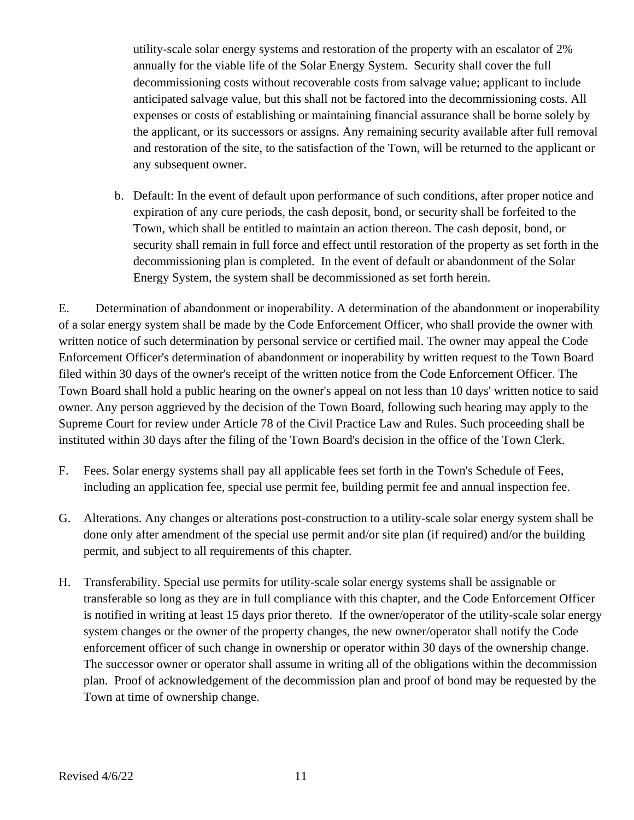utility-scale solar energy systems and restoration of the property with an escalator of 2% annually for the viable life of the Solar Energy System. Security shall cover the full decommissioning costs without recoverable costs from salvage value; applicant to include anticipated salvage value, but this shall not be factored into the decommissioning costs. All expenses or costs of establishing or maintaining financial assurance shall be borne solely by the applicant, or its successors or assigns. Any remaining security available after full removal and restoration of the site, to the satisfaction of the Town, will be returned to the applicant or any subsequent owner.

b. Default: In the event of default upon performance of such conditions, after proper notice and expiration of any cure periods, the cash deposit, bond, or security shall be forfeited to the Town, which shall be entitled to maintain an action thereon. The cash deposit, bond, or security shall remain in full force and effect until restoration of the property as set forth in the decommissioning plan is completed. In the event of default or abandonment of the Solar Energy System, the system shall be decommissioned as set forth herein.

E. Determination of abandonment or inoperability. A determination of the abandonment or inoperability of a solar energy system shall be made by the Code Enforcement Officer, who shall provide the owner with written notice of such determination by personal service or certified mail. The owner may appeal the Code Enforcement Officer's determination of abandonment or inoperability by written request to the Town Board filed within 30 days of the owner's receipt of the written notice from the Code Enforcement Officer. The Town Board shall hold a public hearing on the owner's appeal on not less than 10 days' written notice to said owner. Any person aggrieved by the decision of the Town Board, following such hearing may apply to the Supreme Court for review under Article 78 of the Civil Practice Law and Rules. Such proceeding shall be instituted within 30 days after the filing of the Town Board's decision in the office of the Town Clerk.

- F. Fees. Solar energy systems shall pay all applicable fees set forth in the Town's Schedule of Fees, including an application fee, special use permit fee, building permit fee and annual inspection fee.
- G. Alterations. Any changes or alterations post-construction to a utility-scale solar energy system shall be done only after amendment of the special use permit and/or site plan (if required) and/or the building permit, and subject to all requirements of this chapter.
- H. Transferability. Special use permits for utility-scale solar energy systems shall be assignable or transferable so long as they are in full compliance with this chapter, and the Code Enforcement Officer is notified in writing at least 15 days prior thereto. If the owner/operator of the utility-scale solar energy system changes or the owner of the property changes, the new owner/operator shall notify the Code enforcement officer of such change in ownership or operator within 30 days of the ownership change. The successor owner or operator shall assume in writing all of the obligations within the decommission plan. Proof of acknowledgement of the decommission plan and proof of bond may be requested by the Town at time of ownership change.